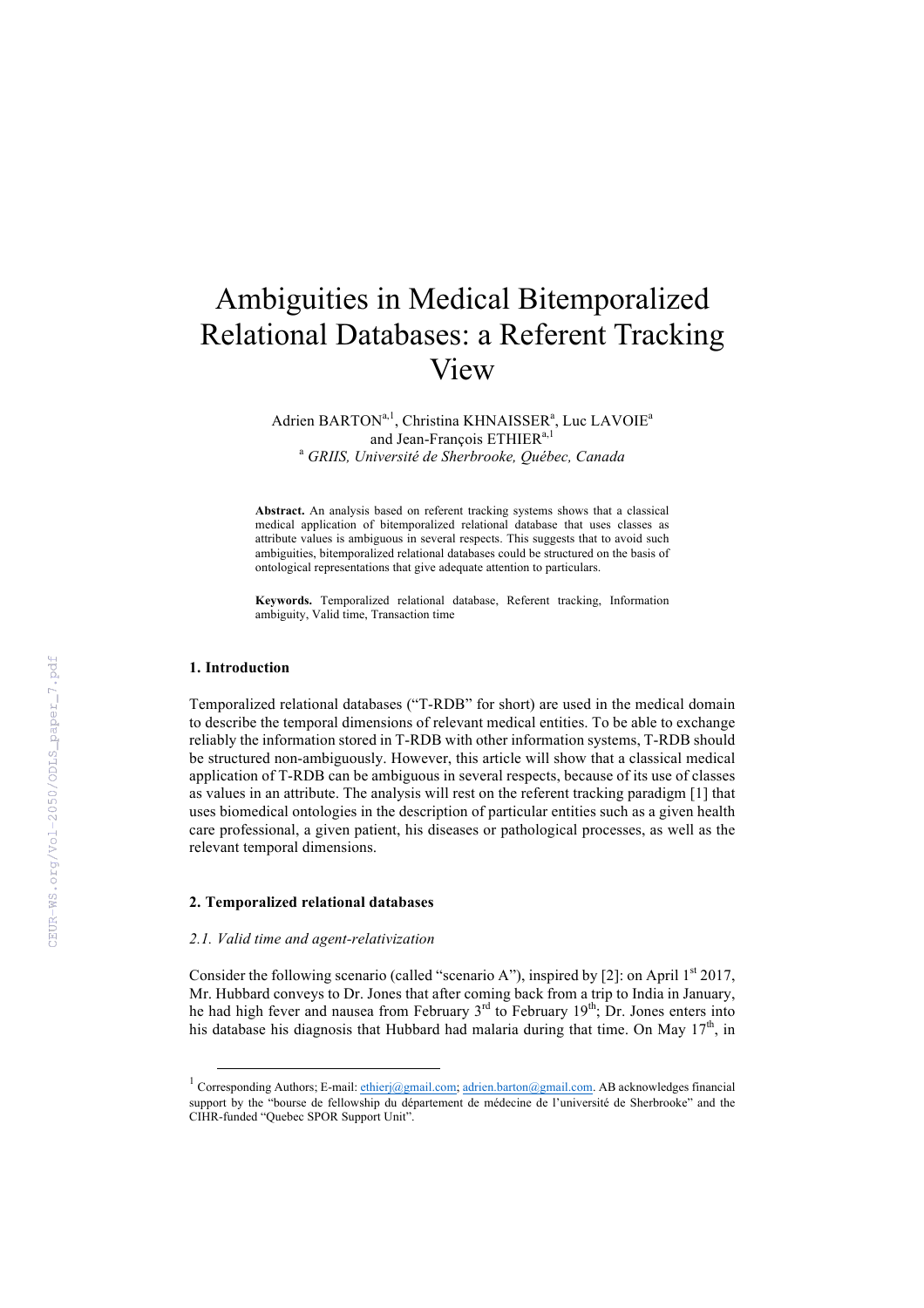# Ambiguities in Medical Bitemporalized Relational Databases: a Referent Tracking View

Adrien BARTON<sup>a, 1</sup>, Christina KHNAISSER<sup>a</sup>, Luc LAVOIE<sup>a</sup> and Jean-François ETHIER<sup>a,1</sup> <sup>a</sup> *GRIIS, Université de Sherbrooke, Québec, Canada*

**Abstract.** An analysis based on referent tracking systems shows that a classical medical application of bitemporalized relational database that uses classes as attribute values is ambiguous in several respects. This suggests that to avoid such ambiguities, bitemporalized relational databases could be structured on the basis of ontological representations that give adequate attention to particulars.

**Keywords.** Temporalized relational database, Referent tracking, Information ambiguity, Valid time, Transaction time

#### **1. Introduction**

Temporalized relational databases ("T-RDB" for short) are used in the medical domain to describe the temporal dimensions of relevant medical entities. To be able to exchange reliably the information stored in T-RDB with other information systems, T-RDB should be structured non-ambiguously. However, this article will show that a classical medical application of T-RDB can be ambiguous in several respects, because of its use of classes as values in an attribute. The analysis will rest on the referent tracking paradigm [1] that uses biomedical ontologies in the description of particular entities such as a given health care professional, a given patient, his diseases or pathological processes, as well as the relevant temporal dimensions.

## **2. Temporalized relational databases**

#### *2.1. Valid time and agent-relativization*

Consider the following scenario (called "scenario A"), inspired by [2]: on April  $1<sup>st</sup> 2017$ , Mr. Hubbard conveys to Dr. Jones that after coming back from a trip to India in January, he had high fever and nausea from February  $3<sup>rd</sup>$  to February  $19<sup>th</sup>$ ; Dr. Jones enters into his database his diagnosis that Hubbard had malaria during that time. On May  $17<sup>th</sup>$ , in

<sup>&</sup>lt;sup>1</sup> Corresponding Authors; E-mail: ethierj@gmail.com; adrien.barton@gmail.com. AB acknowledges financial support by the "bourse de fellowship du département de médecine de l'université de Sherbrooke" and the CIHR-funded "Quebec SPOR Support Unit".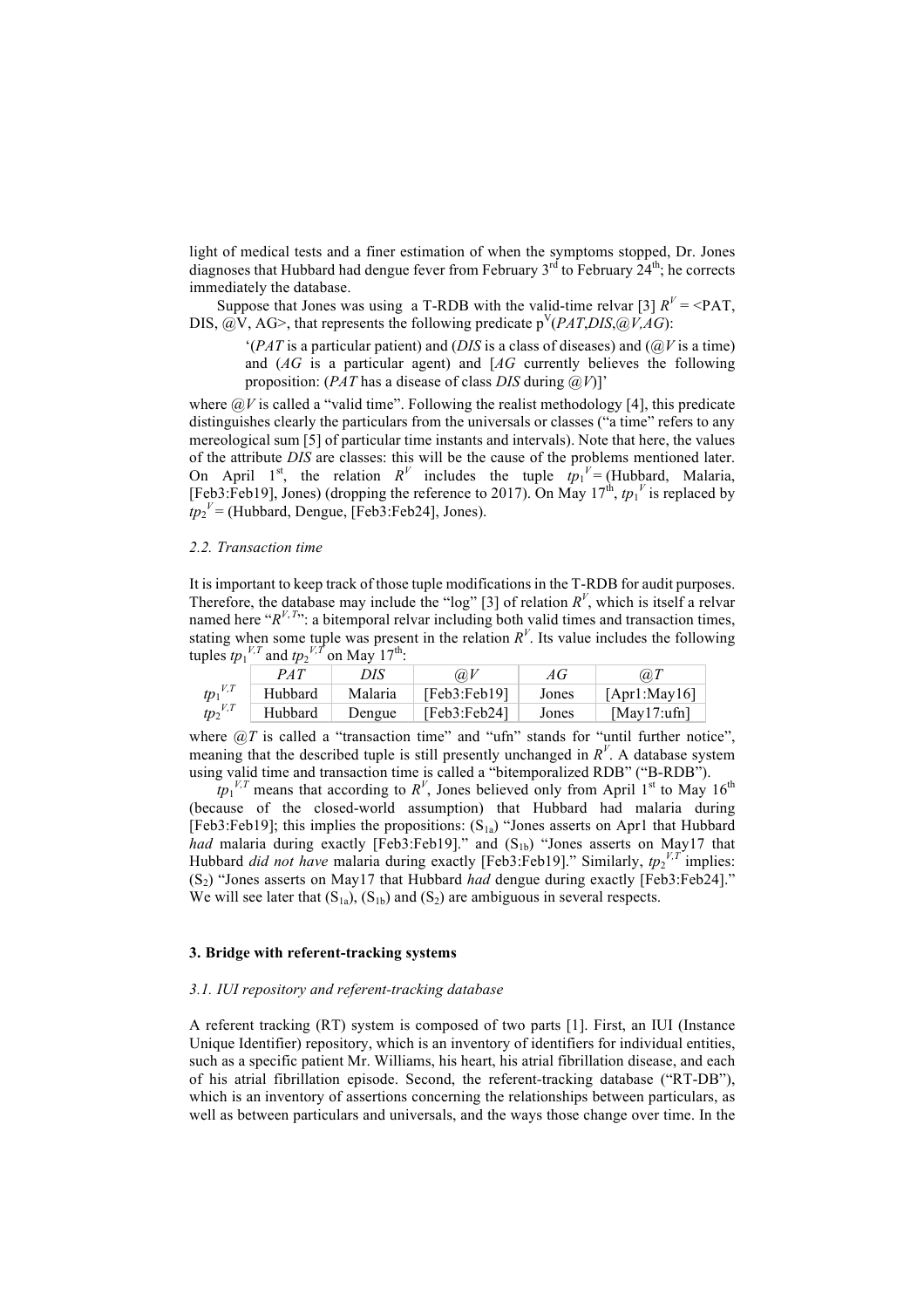light of medical tests and a finer estimation of when the symptoms stopped, Dr. Jones diagnoses that Hubbard had dengue fever from February  $3^{rd}$  to February  $24^{th}$ ; he corrects immediately the database.

Suppose that Jones was using a T-RDB with the valid-time relvar [3]  $R^V = \langle PAT$ , DIS,  $\widehat{a}$ ,  $V$ , AG  $>$ , that represents the following predicate  $p^{V}(PAT, DIS, \widehat{a}$ ,  $V, AG$ ):

 $^{(PAT)}$  is a particular patient) and *(DIS* is a class of diseases) and *(* $@V$  is a time) and (*AG* is a particular agent) and [*AG* currently believes the following proposition: (*PAT* has a disease of class *DIS* during *@V*)]'

where  $\partial V$  is called a "valid time". Following the realist methodology [4], this predicate distinguishes clearly the particulars from the universals or classes ("a time" refers to any mereological sum [5] of particular time instants and intervals). Note that here, the values of the attribute *DIS* are classes: this will be the cause of the problems mentioned later. On April 1<sup>st</sup>, the relation  $R^V$  includes the tuple  $tp_1^V = (Hubbard, Malaria,$ [Feb3:Feb19], Jones) (dropping the reference to 2017). On May  $17^{\text{th}}$ ,  $tp_1^{\text{V}}$  is replaced by  $tp_2^V$  = (Hubbard, Dengue, [Feb3:Feb24], Jones).

#### *2.2. Transaction time*

It is important to keep track of those tuple modifications in the T-RDB for audit purposes. Therefore, the database may include the "log" [3] of relation  $R^V$ , which is itself a relvar named here " $R^{V, T_{\text{max}}}$ : a bitemporal relvar including both valid times and transaction times, stating when some tuple was present in the relation  $R^V$ . Its value includes the following tuples  $tp_1^{V,T}$  and  $tp_2^{V,T}$  on May 17<sup>th</sup>:

|              | P A T   | DIS     | $\omega$     | АG    | @I           |
|--------------|---------|---------|--------------|-------|--------------|
| $tp_1^{V,T}$ | Hubbard | Malaria | [Feb3:Feb19] | Jones | [Apr1:Mav16] |
| $tp_2^{V,T}$ | Hubbard | Dengue  | [Feb3:Feb24] | Jones | [May17:ufn]  |

where  $\omega T$  is called a "transaction time" and "ufn" stands for "until further notice", meaning that the described tuple is still presently unchanged in  $R<sup>V</sup>$ . A database system using valid time and transaction time is called a "bitemporalized RDB" ("B-RDB").

 $tp_1^{V,T}$  means that according to  $R^V$ , Jones believed only from April 1<sup>st</sup> to May 16<sup>th</sup> (because of the closed-world assumption) that Hubbard had malaria during [Feb3:Feb19]; this implies the propositions:  $(S_{1a})$  "Jones asserts on Apr1 that Hubbard *had* malaria during exactly [Feb3:Feb19]." and  $(S_{1b})$  "Jones asserts on May17 that Hubbard *did not have* malaria during exactly [Feb3:Feb19]." Similarly,  $tp_2^{\nu,T}$  implies: (S2) "Jones asserts on May17 that Hubbard *had* dengue during exactly [Feb3:Feb24]." We will see later that  $(S_{1a})$ ,  $(S_{1b})$  and  $(S_2)$  are ambiguous in several respects.

## **3. Bridge with referent-tracking systems**

#### *3.1. IUI repository and referent-tracking database*

A referent tracking (RT) system is composed of two parts [1]. First, an IUI (Instance Unique Identifier) repository, which is an inventory of identifiers for individual entities, such as a specific patient Mr. Williams, his heart, his atrial fibrillation disease, and each of his atrial fibrillation episode. Second, the referent-tracking database ("RT-DB"), which is an inventory of assertions concerning the relationships between particulars, as well as between particulars and universals, and the ways those change over time. In the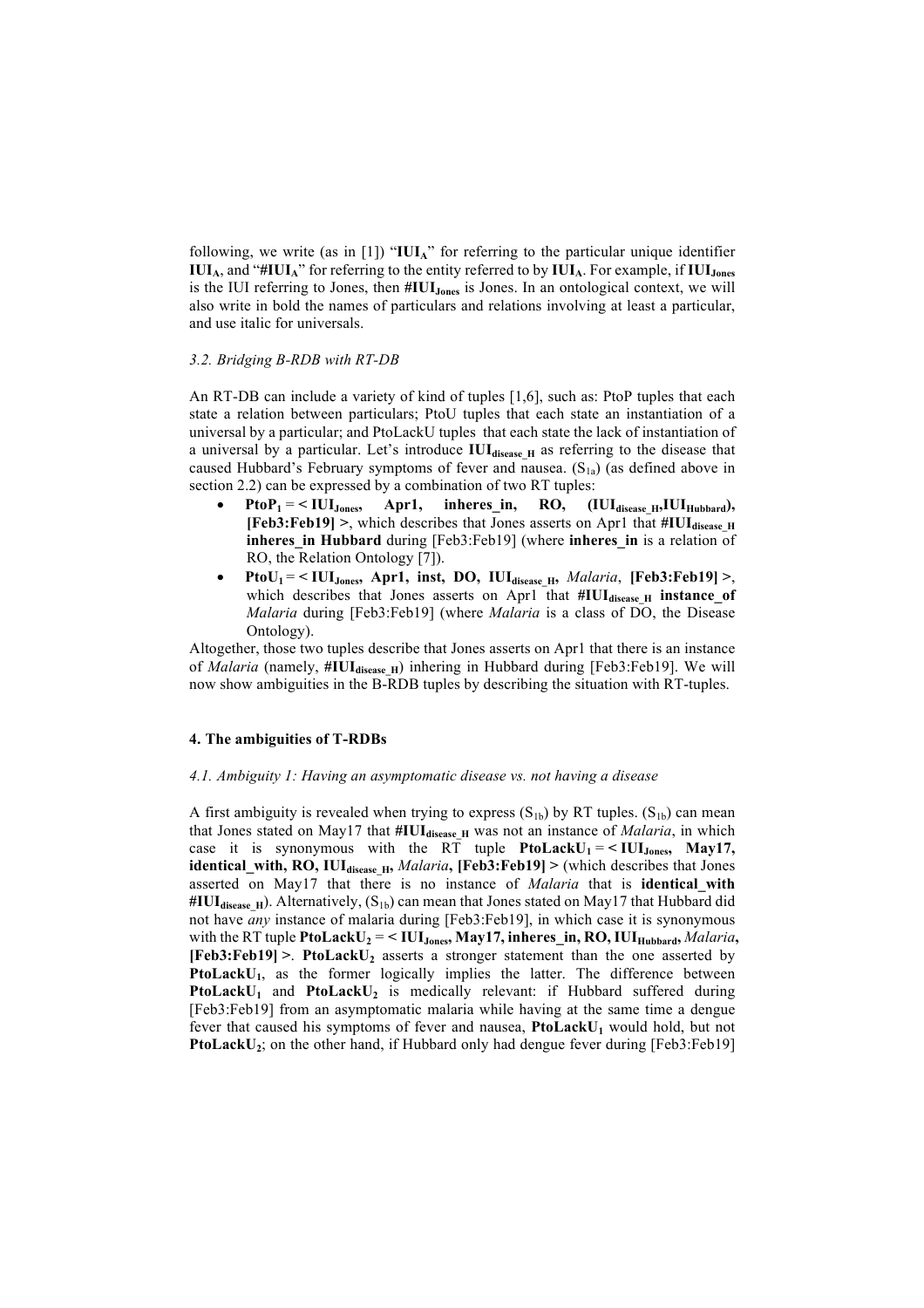following, we write (as in [1]) "**IUIA**" for referring to the particular unique identifier **IUIA**, and "**#IUIA**" for referring to the entity referred to by **IUIA**. For example, if **IUIJones** is the IUI referring to Jones, then **#IUIJones** is Jones. In an ontological context, we will also write in bold the names of particulars and relations involving at least a particular, and use italic for universals.

## *3.2. Bridging B-RDB with RT-DB*

An RT-DB can include a variety of kind of tuples [1,6], such as: PtoP tuples that each state a relation between particulars; PtoU tuples that each state an instantiation of a universal by a particular; and PtoLackU tuples that each state the lack of instantiation of a universal by a particular. Let's introduce IUI<sub>disease H</sub> as referring to the disease that caused Hubbard's February symptoms of fever and nausea.  $(S_{1a})$  (as defined above in section 2.2) can be expressed by a combination of two RT tuples:

- $PtoP_1 = \langle \text{IUI}_{\text{Jones}}, \text{ Apr1}, \text{inheres\_in}, \text{ RO}, \text{ (IUI}_{\text{disease\_H}}, \text{IUI}_{\text{Hubbard}}),$ **[Feb3:Feb19]** >, which describes that Jones asserts on Apr1 that  $\#IUI_{disease}$  H **inheres** in Hubbard during [Feb3:Feb19] (where *inheres* in is a relation of RO, the Relation Ontology [7]).
- **PtoU1** = **< IUIJones, Apr1, inst, DO, IUIdisease\_H,** *Malaria*, **[Feb3:Feb19] >**, which describes that Jones asserts on Apr1 that  $\#IUI_{disease H}$  instance\_of *Malaria* during [Feb3:Feb19] (where *Malaria* is a class of DO, the Disease Ontology).

Altogether, those two tuples describe that Jones asserts on Apr1 that there is an instance of *Malaria* (namely, #IUI<sub>disease\_H</sub>) inhering in Hubbard during [Feb3:Feb19]. We will now show ambiguities in the B-RDB tuples by describing the situation with RT-tuples.

# **4. The ambiguities of T-RDBs**

## *4.1. Ambiguity 1: Having an asymptomatic disease vs. not having a disease*

A first ambiguity is revealed when trying to express  $(S_{1b})$  by RT tuples.  $(S_{1b})$  can mean that Jones stated on May17 that  $\#IUI_{disease_H}$  was not an instance of *Malaria*, in which case it is synonymous with the  $R\overline{T}$  tuple **PtoLackU<sub>1</sub>** =  $\lt$  **IUI**<sub>Jones</sub>, **May17**, **identical\_with, RO, IUIdisease\_H,** *Malaria***, [Feb3:Feb19] >** (which describes that Jones asserted on May17 that there is no instance of *Malaria* that is **identical\_with**  #IUI<sub>disease</sub> H<sub>I</sub>). Alternatively, (S<sub>1b</sub>) can mean that Jones stated on May17 that Hubbard did not have *any* instance of malaria during [Feb3:Feb19], in which case it is synonymous with the RT tuple **PtoLackU<sub>2</sub>** = < **IUI** J<sub>ones</sub>, **May17**, inheres\_in, **RO**, **IUI** Hubbard, *Malaria*, **[Feb3:Feb19] >**. **PtoLackU2** asserts a stronger statement than the one asserted by PtoLackU<sub>1</sub>, as the former logically implies the latter. The difference between PtoLackU<sub>1</sub> and PtoLackU<sub>2</sub> is medically relevant: if Hubbard suffered during [Feb3:Feb19] from an asymptomatic malaria while having at the same time a dengue fever that caused his symptoms of fever and nausea, PtoLackU<sub>1</sub> would hold, but not **PtoLackU<sub>2</sub>**; on the other hand, if Hubbard only had dengue fever during [Feb3:Feb19]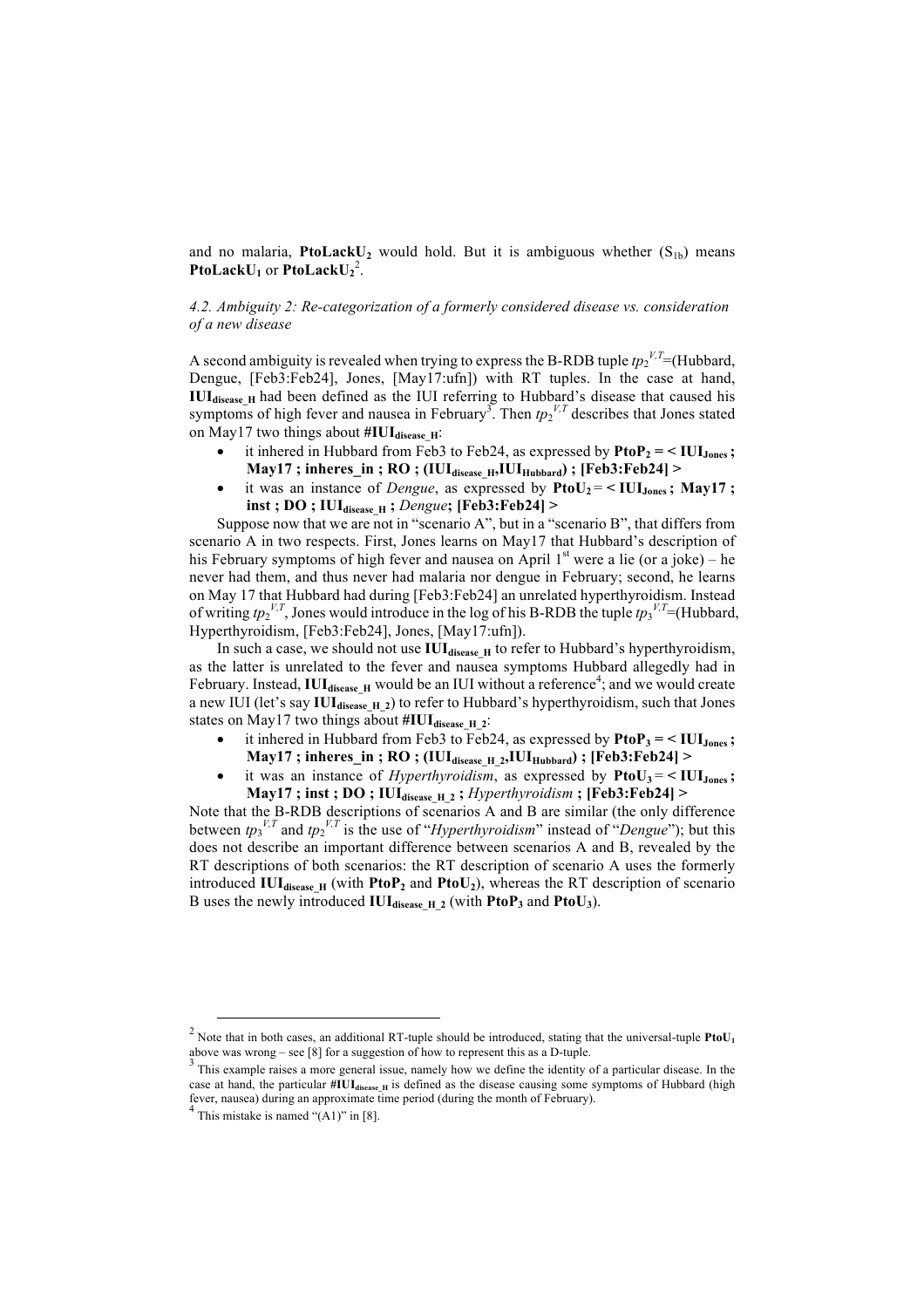and no malaria, **PtoLackU**<sub>2</sub> would hold. But it is ambiguous whether  $(S<sub>1b</sub>)$  means **PtoLackU<sub>1</sub> or <b>PtoLackU**<sub>2</sub><sup>2</sup>.

# *4.2. Ambiguity 2: Re-categorization of a formerly considered disease vs. consideration of a new disease*

A second ambiguity is revealed when trying to express the B-RDB tuple  $tp_2^{V,T}$ =(Hubbard, Dengue, [Feb3:Feb24], Jones, [May17:ufn]) with RT tuples. In the case at hand, **IUI** disease H<sub>H</sub> had been defined as the IUI referring to Hubbard's disease that caused his symptoms of high fever and nausea in February<sup>3</sup>. Then  $tp_2^{V,T}$  describes that Jones stated on May17 two things about #IUI<sub>disease</sub> H:

- it inhered in Hubbard from Feb3 to Feb24, as expressed by  $\text{PtoP}_2 = \text{VUI}_{Jones}$ ;  $\text{May17}$ ; inheres in; RO; (IUI<sub>disease H</sub>,IUI<sub>Hubbard</sub>); [Feb3:Feb24]  $>$
- it was an instance of *Dengue*, as expressed by  $PtoU_2 = \langle IUI_{Jones}; May17; \rangle$ **inst ; DO ; IUIdisease\_H ;** *Dengue***; [Feb3:Feb24] >**

Suppose now that we are not in "scenario A", but in a "scenario B", that differs from scenario A in two respects. First, Jones learns on May17 that Hubbard's description of his February symptoms of high fever and nausea on April  $1<sup>st</sup>$  were a lie (or a joke) – he never had them, and thus never had malaria nor dengue in February; second, he learns on May 17 that Hubbard had during [Feb3:Feb24] an unrelated hyperthyroidism. Instead of writing  $tp_2^{V,T}$ , Jones would introduce in the log of his B-RDB the tuple  $tp_3^{V,T}$ =(Hubbard, Hyperthyroidism, [Feb3:Feb24], Jones, [May17:ufn]).

In such a case, we should not use IUI<sub>disease H</sub> to refer to Hubbard's hyperthyroidism, as the latter is unrelated to the fever and nausea symptoms Hubbard allegedly had in February. Instead, IUI<sub>disease</sub> H would be an IUI without a reference<sup>4</sup>; and we would create a new IUI (let's say IUI<sub>disease H\_2</sub>) to refer to Hubbard's hyperthyroidism, such that Jones states on May17 two things about #IUI<sub>disease\_H\_2</sub>:

- it inhered in Hubbard from Feb3 to Feb24, as expressed by  $\text{PtoP}_3 = \langle \text{III}_{\text{Jones}}; \rangle$  $\text{May17}$ ; inheres in; RO; (IUI<sub>disease H\_2</sub>,IUI<sub>Hubbard</sub>); [Feb3:Feb24] >
- it was an instance of *Hyperthyroidism*, as expressed by  $P_{\text{to}}U_3 = \langle I U I_{\text{Jones}} \rangle$ **May17 ; inst ; DO ; IUIdisease\_H\_2 ;** *Hyperthyroidism* **; [Feb3:Feb24] >**

Note that the B-RDB descriptions of scenarios A and B are similar (the only difference between  $tp_3^{V,T}$  and  $tp_2^{V,T}$  is the use of "*Hyperthyroidism*" instead of "*Dengue*"); but this does not describe an important difference between scenarios A and B, revealed by the RT descriptions of both scenarios: the RT description of scenario A uses the formerly introduced **IUI**<sub>disease</sub><sub>H</sub> (with **PtoP<sub>2</sub>** and **PtoU**<sub>2</sub>), whereas the RT description of scenario B uses the newly introduced  $\text{IUI}_{\text{disease H-2}}$  (with  $\text{PtoP}_3$  and  $\text{PtoU}_3$ ).

<sup>&</sup>lt;sup>2</sup> Note that in both cases, an additional RT-tuple should be introduced, stating that the universal-tuple **PtoU<sub>1</sub>** above was wrong – see [8] for a suggestion of how to represent this as a D-tuple.

 $3$  This example raises a more general issue, namely how we define the identity of a particular disease. In the case at hand, the particular **#IUI**<sub>disease</sub> H is defined as the disease causing some symptoms of Hubbard (high fever, nausea) during an approximate time period (during the month of February). <sup>4</sup> This mistake is named "(A1)" in [8].